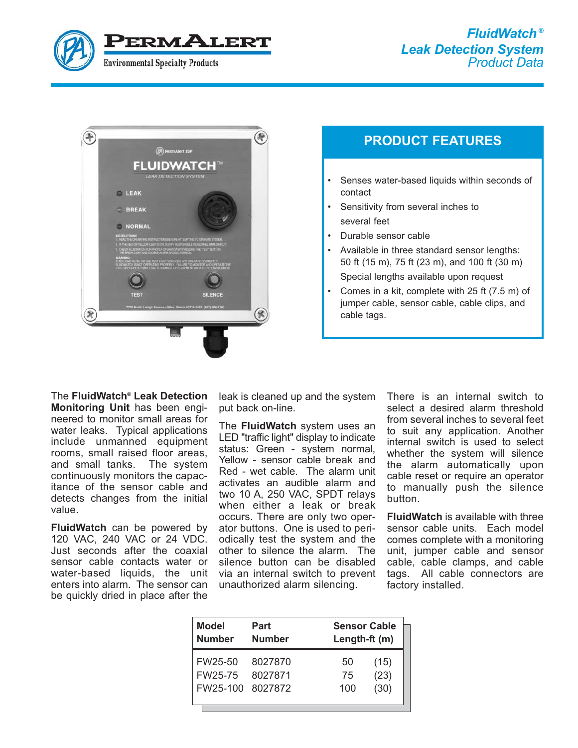



# **PRODUCT FEATURES**

- Senses water-based liquids within seconds of contact
- Sensitivity from several inches to several feet
- Durable sensor cable
- Available in three standard sensor lengths: 50 ft (15 m), 75 ft (23 m), and 100 ft (30 m) Special lengths available upon request
- Comes in a kit, complete with 25 ft (7.5 m) of jumper cable, sensor cable, cable clips, and cable tags.

The **FluidWatch® Leak Detection Monitoring Unit** has been engineered to monitor small areas for water leaks. Typical applications include unmanned equipment rooms, small raised floor areas, and small tanks. The system continuously monitors the capacitance of the sensor cable and detects changes from the initial value.

**FluidWatch** can be powered by 120 VAC, 240 VAC or 24 VDC. Just seconds after the coaxial sensor cable contacts water or water-based liquids, the unit enters into alarm. The sensor can be quickly dried in place after the

leak is cleaned up and the system put back on-line.

The **FluidWatch** system uses an LED "traffic light" display to indicate status: Green - system normal, Yellow - sensor cable break and Red - wet cable. The alarm unit activates an audible alarm and two 10 A, 250 VAC, SPDT relays when either a leak or break occurs. There are only two operator buttons. One is used to periodically test the system and the other to silence the alarm. The silence button can be disabled via an internal switch to prevent unauthorized alarm silencing.

There is an internal switch to select a desired alarm threshold from several inches to several feet to suit any application. Another internal switch is used to select whether the system will silence the alarm automatically upon cable reset or require an operator to manually push the silence button.

**FluidWatch** is available with three sensor cable units. Each model comes complete with a monitoring unit, jumper cable and sensor cable, cable clamps, and cable tags. All cable connectors are factory installed.

| <b>Model</b><br><b>Number</b> | Part<br><b>Number</b> | <b>Sensor Cable</b><br>Length-ft (m) |
|-------------------------------|-----------------------|--------------------------------------|
| FW25-50                       | 8027870               | (15)<br>50                           |
| FW <sub>25</sub> -75          | 8027871               | (23)<br>75                           |
| FW25-100 8027872              |                       | (30)<br>100                          |
|                               |                       |                                      |